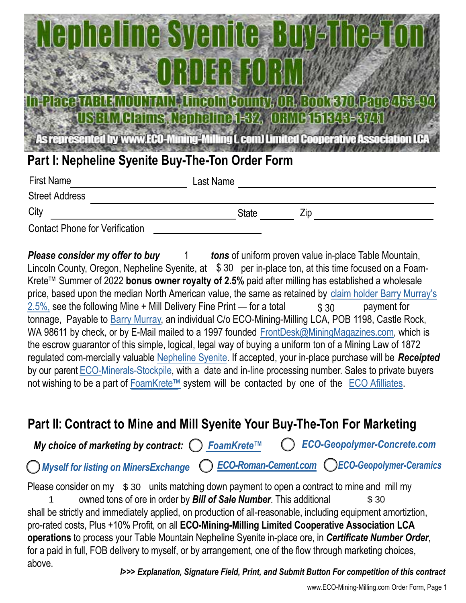# e svem **Mclaims Nenhe**

As represented by www.ECO-Mining-Milling (, com) Limited Cooperative Association LC

## **Part I: Nepheline Syenite Buy-The-Ton Order Form**

| <b>First Name</b>                     | Last Name    |     |  |
|---------------------------------------|--------------|-----|--|
| <b>Street Address</b>                 |              |     |  |
| City                                  | <b>State</b> | Zip |  |
| <b>Contact Phone for Verification</b> |              |     |  |

**Please consider my offer to buy** 1 tons of uniform proven value in-place Table Mountain, Lincoln County, Oregon, Nepheline Syenite, at  $$30$  per in-place ton, at this time focused on a Foam-Krete™ Summer of 2022 **bonus owner royalty of 2.5%** paid after milling has established a wholesale [price, based upon the median North American value, the same as retained by claim holder Barry Murray's](https://theprospector.com) 2.5%, see the following Mine + Mill Delivery Fine Print — for a total  $\qquad$  \$ 30 payment for tonnage, Payable to Barry [Murray,](https://barrymurray.com) an individual C/o ECO-Mining-Milling LCA, POB 1198, Castle Rock, WA 98611 by check, or by E-Mail mailed to a 1997 founded FrontDesk@MiningMagazines.com, which is the escrow guarantor of this simple, logical, legal way of buying a uniform ton of a Mining Law of 1872 regulated com-mercially valuable [Nepheline](http://nephelinesyenite.com) Syenite. If accepted, your in-place purchase will be *Receipted* by our parent **ECO-Minerals-Stockpile**, with a date and in-line processing number. Sales to private buyers not wishing to be a part of [FoamKrete™](https://foamkrete.com) system will be contacted by one of th[e ECO Afilliates](https://eco-housing-america.com). 1 \$ 30

## **Part II: Contract to Mine and Mill Syenite Your Buy-The-Ton For Marketing**

*My choice of marketing by contract: FoamKrete™ ECO-Geopolymer-Concrete.com*

*Myself for listing on MinersExchange ECO-Roman-Cement.com ECO-Geopolymer-Ceramics*

Please consider on my  $\,$  \$ 30  $\,$  units matching down payment to open a contract to mine and mill my 1 owned tons of ore in order by **Bill of Sale Number**. This additional **5 30** shall be strictly and immediately applied, on production of all-reasonable, including equipment amortiztion, pro-rated costs, Plus +10% Profit, on all **[ECO-Mining-Milling](https://eco-mining-milling.com) Limited Cooperative Association LCA operations** to process your Table Mountain [Nepheline](http://nephelinesyenite.com) Syenite in-place ore, in *Certificate Number Order*, for a paid in full, FOB delivery to myself, or by arrangement, one of the flow through marketing choices, above.

*l>>> Explanation, Signature Field, Print, and Submit Button For competition of this contract*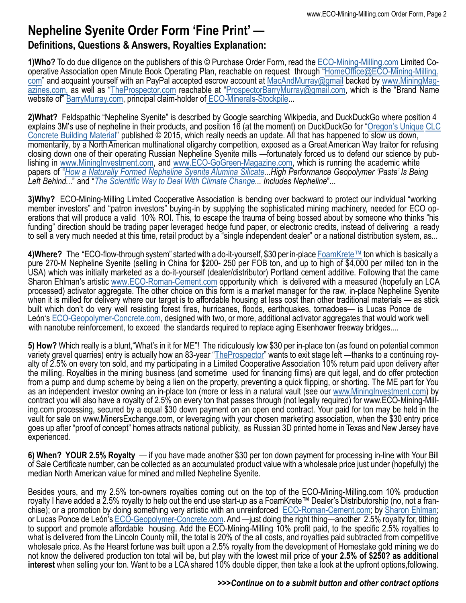## **Nepheline Syenite Order Form 'Fine Print' —**

#### **Definitions, Questions & Answers, Royalties Explanation:**

**1)Who?** To do due diligence on the publishers of this © Purchase Order Form, read the [ECO-Mining-Milling.com](https://eco-mining-milling.com) Limited Cooperative Association open Minute Book Operating Plan, reachable on request through "[HomeOffice@ECO-Mining-Milling.](mailto:frontdesk@ecominingmilling.com) com" and acquaint yourself with an PayPal accepted escrow account at [MacAndMurray@gmail](mailto:macandmurray@gmail.com) backed by [www.MiningMag](https://miningmagazines.com)[azines.com,](https://miningmagazines.com) as well as ["TheProspector.com](https://theprospector.com) reachable at ["ProspectorBarryMurray@gmail.com,](mailto:prospectorbarrymurray@gmail.com) which is the "Brand Name website of" [BarryMurray.com,](https://barrymurray.com) principal claim-holder of [ECO-Minerals-Stockpile...](http://www.eco-minerals-stockpile.net)

**2)What?** Feldspathic "Nepheline Syenite" is described by Google searching Wikipedia, and [DuckDuckGo](https://duckduckgo.com/?q=nepheline+syenite&t=h_&ia=web) where position 4 explains 3M's use of nepheline in their products, and position 16 (at the moment) on DuckDuckGo for ["Oregon's Unique](http://nephelinesyenite.com) CLC [Concrete Building Material" publis](http://nephelinesyenite.com)hed © 2015, which really needs an update. All that has happened to slow us down, momentarily, by a North American multinational oligarchy competition, exposed as a Great American Way traitor for refusing closing down one of their operating Russian Nepheline Syenite mills —fortunately forced us to defend our science by publishing in [www.MiningInvestment.com,](https://mininginvestment.com) and [www.ECO-GoGreen-Magazine.com](https://eco-gogreen-magazine.com), which is running the academic white papers of "*How [a Naturally Formed Nepheline Syenite Alumina Silicate...High Performance Geopolymer 'Paste' Is Being](https://www.academia.edu/71703957/Naturally_Formed_Nepheline_Syenite_Alumino_Silicate_Al2O3_SiO2_High_Performance_Geopolymer_Roman_Concrete) Left Behind.*.." and "*The Scientific Way to Deal With Climate Change... Includes Nepheline*"...

**3)Why?** ECO-Mining-Milling Limited Cooperative Association is bending over backward to protect our individual "working member investors" and "patron investors" buying-in by supplying the sophisticated mining machinery, needed for ECO operations that will produce a valid 10% ROI. This, to escape the trauma of being bossed about by someone who thinks "his funding" direction should be trading paper leveraged hedge fund paper, or electronic credits, instead of delivering a ready to sell a very much needed at this time, retail product by a "single independent dealer" or a national distribution system, as...

**4)Where?** The "ECO-flow-through system" started with a do-it-yourself, \$30 per in-place [FoamKrete™](https://foamkrete.com) ton which is basically a pure 270-M Nepheline Syenite (selling in China for \$200- 250 per FOB ton, and up to high of \$4,000 per milled ton in the USA) which was initially marketed as a do-it-yourself (dealer/distributor) Portland cement additive. Following that the came Sharon Ehlman's artistic [www.ECO-Roman-Cement.com](https://eco-housing-america.com) opportunity which is delivered with a measured (hopefully an LCA processed) activator aggregate. The other choice on this form is a market manager for the raw, in-place Nepheline Syenite when it is milled for delivery where our target is to affordable housing at less cost than other traditional materials — as stick built which don't do very well resisting forest fires, hurricanes, floods, earthquakes, tornadoes— is Lucas Ponce de León's [ECO-Geopolymer-Concrete.com](https://eco-housing-america.com), designed with two, or more, additional activator aggregates that would work well with nanotube reinforcement, to exceed the standards required to replace aging Eisenhower freeway bridges....

**5) How?** Which really is a blunt,"What's in it for ME"! The ridiculously low \$30 per in-place ton (as found on potential common variety gravel quarries) entry is actually how an 83-year ["TheProspector"](https://theprospector.com) wants to exit stage left —thanks to a continuing royalty of 2.5% on every ton sold, and my participating in a Limited Cooperative Association 10% return paid upon delivery after the milling. Royalties in the mining business (and sometime used for financing films) are quit legal, and do offer protection from a pump and dump scheme by being a lien on the property, preventing a quick flipping, or shorting. The ME part for You as an independent investor owning an in-place ton (more or less in a natural vault (see our [www.MiningInvestment.com\)](https://mininginvestment.com) by contract you will also have a royalty of 2.5% on every ton that passes through (not legally required) for www.ECO-Mining-Milling.com processing, secured by a equal \$30 down payment on an open end contract. Your paid for ton may be held in the vault for sale on www.MinersExchange.com, or leveraging with your chosen marketing association, when the \$30 entry price goes up after "proof of concept" homes attracts national publicity, as Russian 3D printed home in Texas and New Jersey have experienced.

**6) When? YOUR 2.5% Royalty** — if you have made another \$30 per ton down payment for processing in-line with Your Bill of Sale Certificate number, can be collected as an accumulated product value with a wholesale price just under (hopefully) the median North American value for mined and milled Nepheline Syenite.

Besides yours, and my 2.5% ton-owners royalties coming out on the top of the ECO-Mining-Milling.com 10% production royalty I have added a 2.5% royalty to help out the end use start-up as a FoamKrete™ Dealer's Distributorship (no, not a franchise); or a promotion by doing something very artistic with an unreinforced ECO-Roman-Cement.com; by Sharon Ehlman; or Lucas Ponce de León's [ECO-Geopolymer-Concrete.com](https://eco-housing-america.com). And —just doing the right thing—another 2.5% royalty for, tithing to support and promote affordable housing. Add the ECO-Mining-Milling 10% profit paid, to the specific 2.5% royalties to what is delivered from the Lincoln County mill, the total is 20% of the all costs, and royalties paid subtracted from competitive wholesale price. As the Hearst fortune was built upon a 2.5% royalty from the development of Homestake gold mining we do not know the delivered production ton total will be, but play with the lowest miil price of **your 2.5% of \$250? as additional interest** when selling your ton. Want to be a LCA shared 10% double dipper, then take a look at the upfront options,following.

#### *>>>Continue on to a submit button and other contract options*